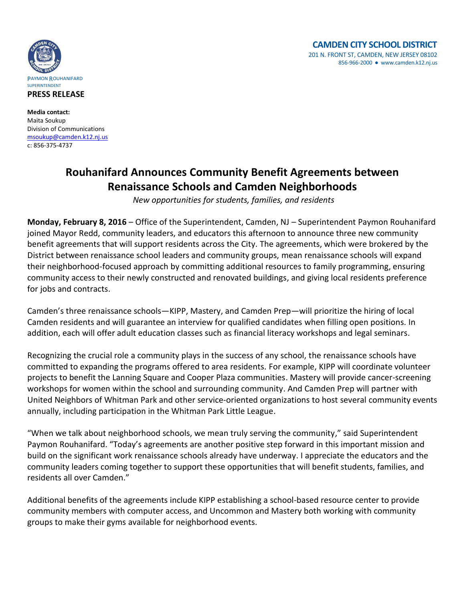

**PRESS RELEASE**

**Media contact:** Maita Soukup Division of Communications [msoukup@camden.k12.nj.us](mailto:msoukup@camden.k12.nj.us) c: 856-375-4737

## **Rouhanifard Announces Community Benefit Agreements between Renaissance Schools and Camden Neighborhoods**

*New opportunities for students, families, and residents* 

**Monday, February 8, 2016** – Office of the Superintendent, Camden, NJ – Superintendent Paymon Rouhanifard joined Mayor Redd, community leaders, and educators this afternoon to announce three new community benefit agreements that will support residents across the City. The agreements, which were brokered by the District between renaissance school leaders and community groups, mean renaissance schools will expand their neighborhood-focused approach by committing additional resources to family programming, ensuring community access to their newly constructed and renovated buildings, and giving local residents preference for jobs and contracts.

Camden's three renaissance schools—KIPP, Mastery, and Camden Prep—will prioritize the hiring of local Camden residents and will guarantee an interview for qualified candidates when filling open positions. In addition, each will offer adult education classes such as financial literacy workshops and legal seminars.

Recognizing the crucial role a community plays in the success of any school, the renaissance schools have committed to expanding the programs offered to area residents. For example, KIPP will coordinate volunteer projects to benefit the Lanning Square and Cooper Plaza communities. Mastery will provide cancer-screening workshops for women within the school and surrounding community. And Camden Prep will partner with United Neighbors of Whitman Park and other service-oriented organizations to host several community events annually, including participation in the Whitman Park Little League.

"When we talk about neighborhood schools, we mean truly serving the community," said Superintendent Paymon Rouhanifard. "Today's agreements are another positive step forward in this important mission and build on the significant work renaissance schools already have underway. I appreciate the educators and the community leaders coming together to support these opportunities that will benefit students, families, and residents all over Camden."

Additional benefits of the agreements include KIPP establishing a school-based resource center to provide community members with computer access, and Uncommon and Mastery both working with community groups to make their gyms available for neighborhood events.